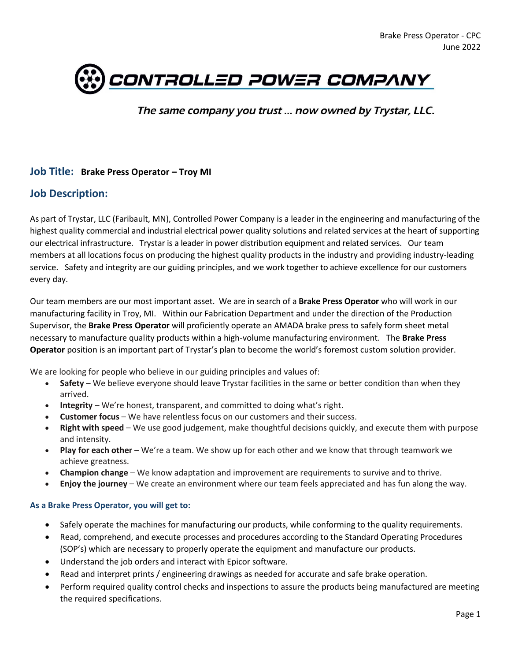

The same company you trust ... now owned by Trystar, LLC.

### **Job Title: Brake Press Operator – Troy MI**

# **Job Description:**

As part of Trystar, LLC (Faribault, MN), Controlled Power Company is a leader in the engineering and manufacturing of the highest quality commercial and industrial electrical power quality solutions and related services at the heart of supporting our electrical infrastructure. Trystar is a leader in power distribution equipment and related services. Our team members at all locations focus on producing the highest quality products in the industry and providing industry-leading service. Safety and integrity are our guiding principles, and we work together to achieve excellence for our customers every day.

Our team members are our most important asset. We are in search of a **Brake Press Operator** who will work in our manufacturing facility in Troy, MI. Within our Fabrication Department and under the direction of the Production Supervisor, the **Brake Press Operator** will proficiently operate an AMADA brake press to safely form sheet metal necessary to manufacture quality products within a high-volume manufacturing environment. The **Brake Press Operator** position is an important part of Trystar's plan to become the world's foremost custom solution provider.

We are looking for people who believe in our guiding principles and values of:

- **Safety** We believe everyone should leave Trystar facilities in the same or better condition than when they arrived.
- **Integrity** We're honest, transparent, and committed to doing what's right.
- **Customer focus** We have relentless focus on our customers and their success.
- **Right with speed** We use good judgement, make thoughtful decisions quickly, and execute them with purpose and intensity.
- **Play for each other** We're a team. We show up for each other and we know that through teamwork we achieve greatness.
- **Champion change** We know adaptation and improvement are requirements to survive and to thrive.
- **Enjoy the journey** We create an environment where our team feels appreciated and has fun along the way.

### **As a Brake Press Operator, you will get to:**

- Safely operate the machines for manufacturing our products, while conforming to the quality requirements.
- Read, comprehend, and execute processes and procedures according to the Standard Operating Procedures (SOP's) which are necessary to properly operate the equipment and manufacture our products.
- Understand the job orders and interact with Epicor software.
- Read and interpret prints / engineering drawings as needed for accurate and safe brake operation.
- Perform required quality control checks and inspections to assure the products being manufactured are meeting the required specifications.